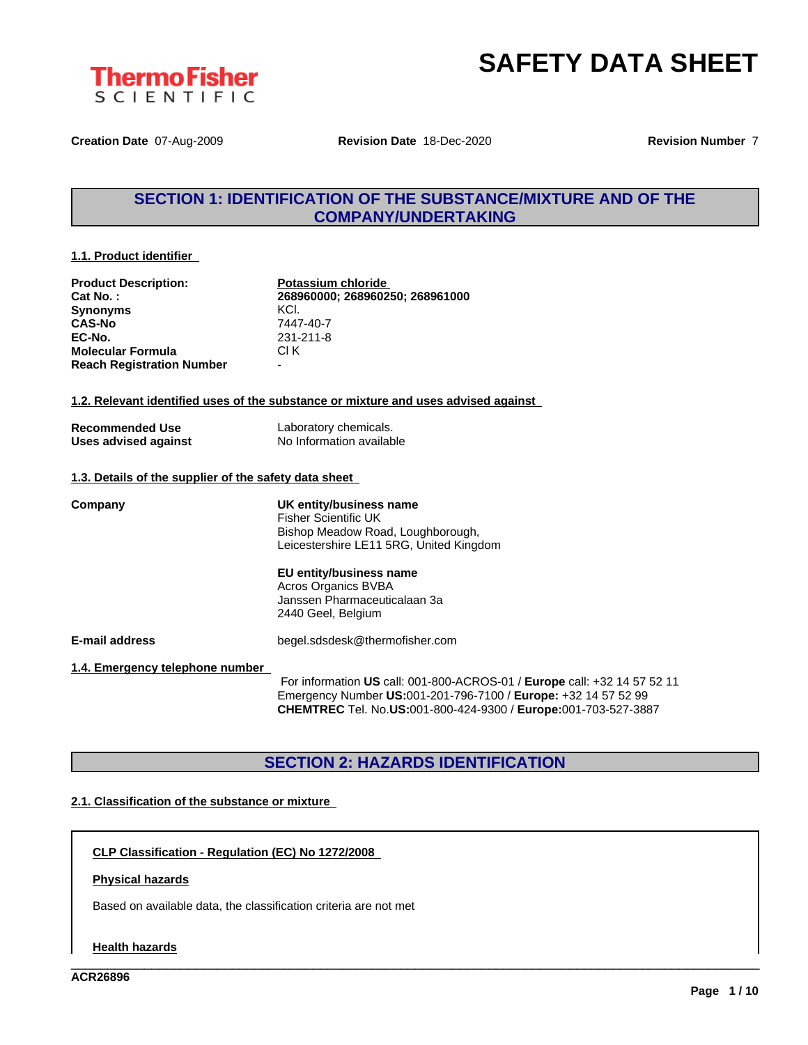



**Creation Date** 07-Aug-2009 **Revision Date** 18-Dec-2020 **Revision Number** 7

# **SECTION 1: IDENTIFICATION OF THE SUBSTANCE/MIXTURE AND OF THE COMPANY/UNDERTAKING**

#### **1.1. Product identifier**

| <b>Product Description:</b>                           | Potassium chloride              |
|-------------------------------------------------------|---------------------------------|
| Cat No.:                                              | 268960000; 268960250; 268961000 |
| <b>Synonyms</b>                                       | KCL.                            |
| <b>CAS-No</b>                                         | 7447-40-7                       |
| EC-No.                                                | 231-211-8                       |
| <b>Molecular Formula</b>                              | CI K                            |
| <b>Reach Registration Number</b>                      |                                 |
|                                                       |                                 |
| <b>Recommended Use</b>                                | Laboratory chemicals.           |
| Uses advised against                                  | No Information available        |
| 1.3. Details of the supplier of the safety data sheet |                                 |
|                                                       |                                 |
| Company                                               | IIK antitu/husingss nama        |

| Company                         | UK entity/business name                                                  |
|---------------------------------|--------------------------------------------------------------------------|
|                                 | Fisher Scientific UK                                                     |
|                                 | Bishop Meadow Road, Loughborough,                                        |
|                                 | Leicestershire LE11 5RG, United Kingdom                                  |
|                                 | EU entity/business name                                                  |
|                                 | Acros Organics BVBA                                                      |
|                                 | Janssen Pharmaceuticalaan 3a                                             |
|                                 | 2440 Geel, Belgium                                                       |
|                                 |                                                                          |
| <b>E-mail address</b>           | begel.sdsdesk@thermofisher.com                                           |
| 1.4. Emergency telephone number |                                                                          |
|                                 | For information US call: 001-800-ACROS-01 / Europe call: +32 14 57 52 11 |
|                                 | Emergency Number US:001-201-796-7100 / Europe: +32 14 57 52 99           |
|                                 | <b>CHEMTREC</b> Tel. No.US:001-800-424-9300 / Europe:001-703-527-3887    |
|                                 |                                                                          |

# **SECTION 2: HAZARDS IDENTIFICATION**

\_\_\_\_\_\_\_\_\_\_\_\_\_\_\_\_\_\_\_\_\_\_\_\_\_\_\_\_\_\_\_\_\_\_\_\_\_\_\_\_\_\_\_\_\_\_\_\_\_\_\_\_\_\_\_\_\_\_\_\_\_\_\_\_\_\_\_\_\_\_\_\_\_\_\_\_\_\_\_\_\_\_\_\_\_\_\_\_\_\_\_\_\_\_

#### **2.1. Classification of the substance or mixture**

**CLP Classification - Regulation (EC) No 1272/2008**

#### **Physical hazards**

Based on available data, the classification criteria are not met

#### **Health hazards**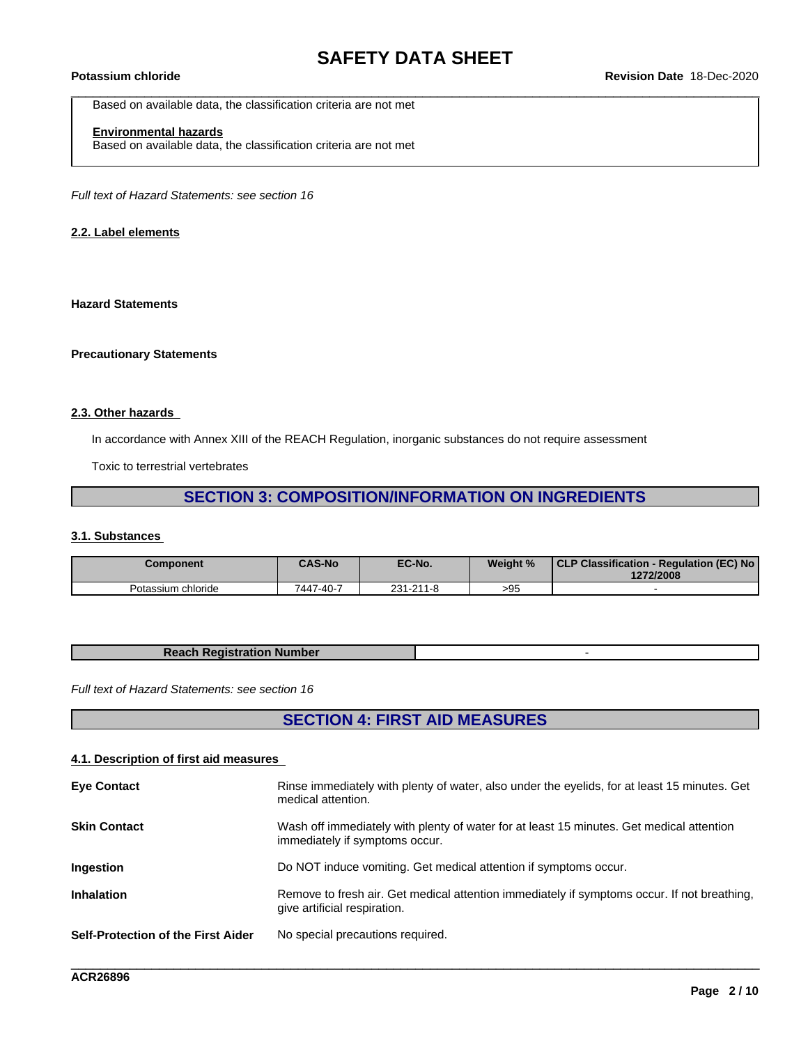Based on available data, the classification criteria are not met

### **Environmental hazards**

Based on available data, the classification criteria are not met

*Full text of Hazard Statements: see section 16*

#### **2.2. Label elements**

#### **Hazard Statements**

#### **Precautionary Statements**

#### **2.3. Other hazards**

In accordance with Annex XIII of the REACH Regulation, inorganic substances do not require assessment

Toxic to terrestrial vertebrates

# **SECTION 3: COMPOSITION/INFORMATION ON INGREDIENTS**

#### **3.1. Substances**

| <b>Component</b>   | <b>CAS-No</b> | EC-No.    | Weight % | CLP Classification - Regulation (EC) No<br>1272/2008 |
|--------------------|---------------|-----------|----------|------------------------------------------------------|
| Potassium chloride | 7447-40-7     | 231-211-8 | >95      |                                                      |

| <b>Reach Registration Number</b> |  |
|----------------------------------|--|
|                                  |  |

*Full text of Hazard Statements: see section 16*

# **SECTION 4: FIRST AID MEASURES**

#### **4.1. Description of first aid measures**

| Wash off immediately with plenty of water for at least 15 minutes. Get medical attention<br><b>Skin Contact</b><br>immediately if symptoms occur.<br>Do NOT induce vomiting. Get medical attention if symptoms occur.<br><b>Ingestion</b><br><b>Inhalation</b><br>Remove to fresh air. Get medical attention immediately if symptoms occur. If not breathing,<br>give artificial respiration.<br><b>Self-Protection of the First Aider</b><br>No special precautions required. | <b>Eye Contact</b> | Rinse immediately with plenty of water, also under the eyelids, for at least 15 minutes. Get<br>medical attention. |
|--------------------------------------------------------------------------------------------------------------------------------------------------------------------------------------------------------------------------------------------------------------------------------------------------------------------------------------------------------------------------------------------------------------------------------------------------------------------------------|--------------------|--------------------------------------------------------------------------------------------------------------------|
|                                                                                                                                                                                                                                                                                                                                                                                                                                                                                |                    |                                                                                                                    |
|                                                                                                                                                                                                                                                                                                                                                                                                                                                                                |                    |                                                                                                                    |
|                                                                                                                                                                                                                                                                                                                                                                                                                                                                                |                    |                                                                                                                    |
|                                                                                                                                                                                                                                                                                                                                                                                                                                                                                |                    |                                                                                                                    |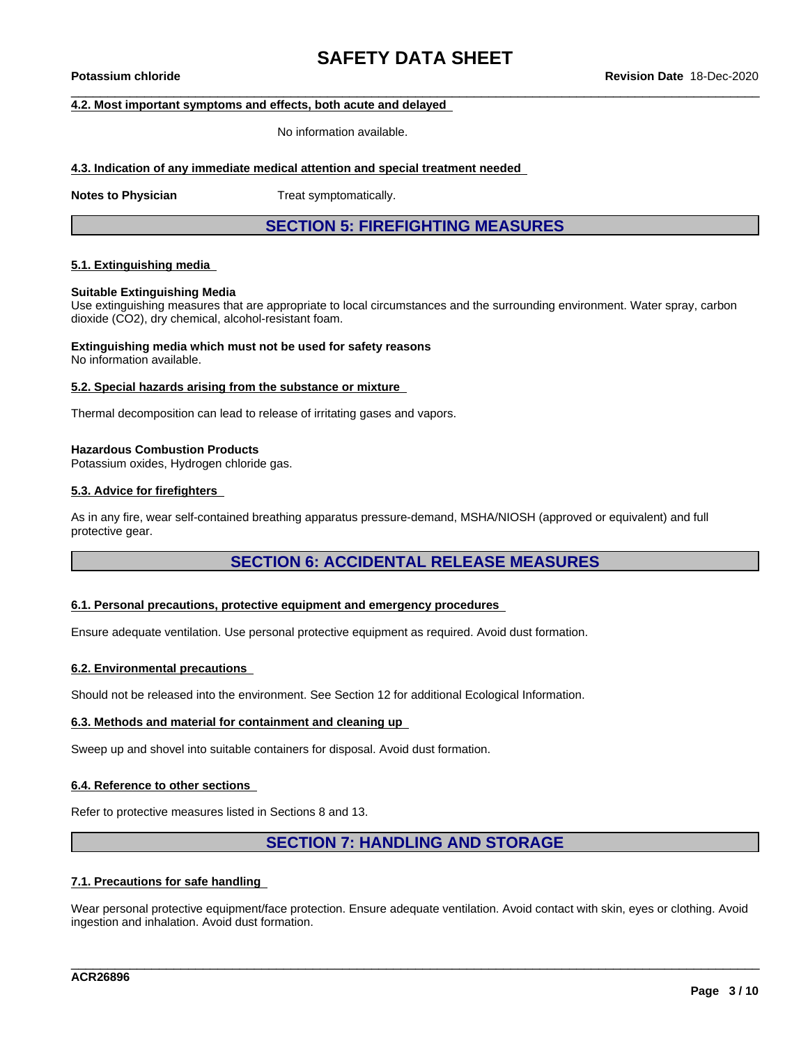#### **4.2. Most important symptoms and effects, both acute and delayed**

No information available.

#### **4.3. Indication of any immediate medical attention and special treatment needed**

**Notes to Physician** Treat symptomatically.

**SECTION 5: FIREFIGHTING MEASURES**

#### **5.1. Extinguishing media**

#### **Suitable Extinguishing Media**

Use extinguishing measures that are appropriate to local circumstances and the surrounding environment. Water spray, carbon dioxide (CO2), dry chemical, alcohol-resistant foam.

# **Extinguishing media which must not be used for safety reasons**

No information available.

#### **5.2. Special hazards arising from the substance or mixture**

Thermal decomposition can lead to release of irritating gases and vapors.

#### **Hazardous Combustion Products**

Potassium oxides, Hydrogen chloride gas.

#### **5.3. Advice for firefighters**

As in any fire, wear self-contained breathing apparatus pressure-demand, MSHA/NIOSH (approved or equivalent) and full protective gear.

### **SECTION 6: ACCIDENTAL RELEASE MEASURES**

#### **6.1. Personal precautions, protective equipment and emergency procedures**

Ensure adequate ventilation. Use personal protective equipment as required. Avoid dust formation.

#### **6.2. Environmental precautions**

Should not be released into the environment. See Section 12 for additional Ecological Information.

#### **6.3. Methods and material for containment and cleaning up**

Sweep up and shovel into suitable containers for disposal. Avoid dust formation.

#### **6.4. Reference to other sections**

Refer to protective measures listed in Sections 8 and 13.

### **SECTION 7: HANDLING AND STORAGE**

#### **7.1. Precautions for safe handling**

Wear personal protective equipment/face protection. Ensure adequate ventilation. Avoid contact with skin, eyes or clothing. Avoid ingestion and inhalation. Avoid dust formation.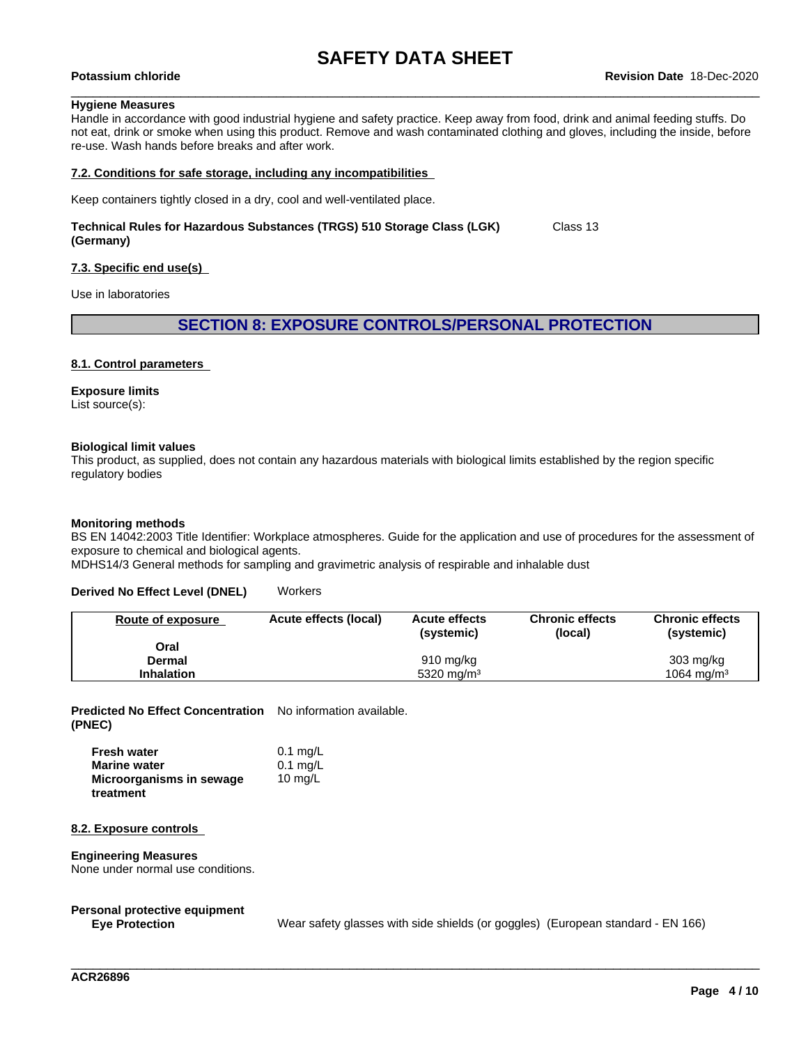#### **Hygiene Measures**

Handle in accordance with good industrial hygiene and safety practice. Keep away from food, drink and animal feeding stuffs. Do not eat, drink or smoke when using this product. Remove and wash contaminated clothing and gloves, including the inside, before re-use. Wash hands before breaks and after work.

#### **7.2. Conditions for safe storage, including any incompatibilities**

Keep containers tightly closed in a dry, cool and well-ventilated place.

#### **Technical Rules for Hazardous Substances (TRGS) 510 Storage Class (LGK) (Germany)** Class 13

#### **7.3. Specific end use(s)**

Use in laboratories

#### **SECTION 8: EXPOSURE CONTROLS/PERSONAL PROTECTION**

#### **8.1. Control parameters**

#### **Exposure limits**

List source(s):

#### **Biological limit values**

This product, as supplied, does not contain any hazardous materials with biological limits established by the region specific regulatory bodies

#### **Monitoring methods**

BS EN 14042:2003 Title Identifier: Workplace atmospheres. Guide for the application and use of procedures for the assessment of exposure to chemical and biological agents.

MDHS14/3 General methods for sampling and gravimetric analysis of respirable and inhalable dust

#### **Derived No Effect Level (DNEL)** Workers

| Route of exposure | Acute effects (local) | <b>Acute effects</b><br>(systemic) | <b>Chronic effects</b><br>(local) | <b>Chronic effects</b><br>(systemic) |
|-------------------|-----------------------|------------------------------------|-----------------------------------|--------------------------------------|
| Oral              |                       |                                    |                                   |                                      |
| Dermal            |                       | $910 \text{ mg/kg}$                |                                   | $303 \text{ mg/kg}$                  |
| <b>Inhalation</b> |                       | 5320 mg/m <sup>3</sup>             |                                   | 1064 mg/m <sup>3</sup>               |

**Predicted No Effect Concentration** No information available. **(PNEC)**

| <b>Fresh water</b>       | $0.1$ mg/L |
|--------------------------|------------|
| <b>Marine water</b>      | $0.1$ mg/L |
| Microorganisms in sewage | 10 $mq/L$  |
| treatment                |            |

#### **8.2. Exposure controls**

#### **Engineering Measures**

None under normal use conditions.

# **Personal protective equipment**

Wear safety glasses with side shields (or goggles) (European standard - EN 166)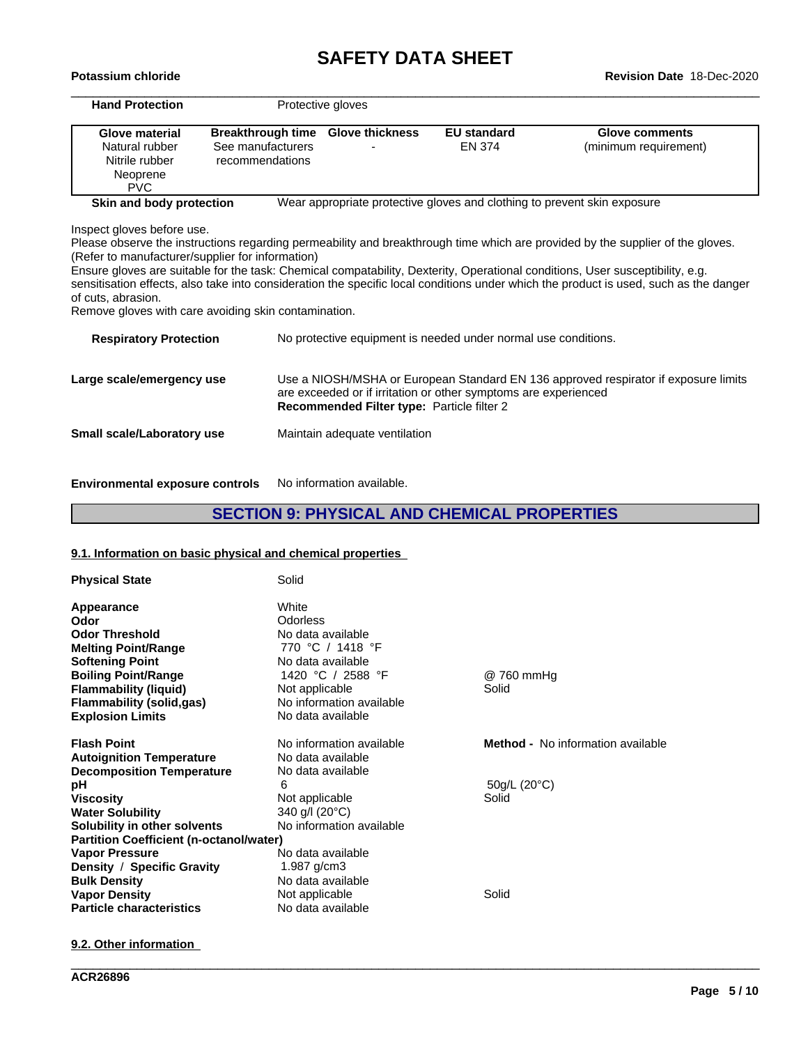# **SAFETY DATA SHEET**<br>Revision Date 18-Dec-2020

| <b>Hand Protection</b>                               |                          | Protective gloves                          |                                                                          |                                                                                                                                       |
|------------------------------------------------------|--------------------------|--------------------------------------------|--------------------------------------------------------------------------|---------------------------------------------------------------------------------------------------------------------------------------|
| Glove material                                       | <b>Breakthrough time</b> | <b>Glove thickness</b>                     | <b>EU standard</b>                                                       | <b>Glove comments</b>                                                                                                                 |
| Natural rubber                                       | See manufacturers        |                                            | EN 374                                                                   | (minimum requirement)                                                                                                                 |
| Nitrile rubber                                       | recommendations          |                                            |                                                                          |                                                                                                                                       |
| Neoprene                                             |                          |                                            |                                                                          |                                                                                                                                       |
| <b>PVC</b>                                           |                          |                                            |                                                                          |                                                                                                                                       |
| Skin and body protection                             |                          |                                            | Wear appropriate protective gloves and clothing to prevent skin exposure |                                                                                                                                       |
| Inspect gloves before use.                           |                          |                                            |                                                                          |                                                                                                                                       |
|                                                      |                          |                                            |                                                                          | Please observe the instructions regarding permeability and breakthrough time which are provided by the supplier of the gloves.        |
| (Refer to manufacturer/supplier for information)     |                          |                                            |                                                                          |                                                                                                                                       |
|                                                      |                          |                                            |                                                                          | Ensure gloves are suitable for the task: Chemical compatability, Dexterity, Operational conditions, User susceptibility, e.g.         |
|                                                      |                          |                                            |                                                                          | sensitisation effects, also take into consideration the specific local conditions under which the product is used, such as the danger |
| of cuts, abrasion.                                   |                          |                                            |                                                                          |                                                                                                                                       |
| Remove gloves with care avoiding skin contamination. |                          |                                            |                                                                          |                                                                                                                                       |
| <b>Respiratory Protection</b>                        |                          |                                            | No protective equipment is needed under normal use conditions.           |                                                                                                                                       |
| Large scale/emergency use                            |                          |                                            |                                                                          | Use a NIOSH/MSHA or European Standard EN 136 approved respirator if exposure limits                                                   |
|                                                      |                          | Recommended Filter type: Particle filter 2 | are exceeded or if irritation or other symptoms are experienced          |                                                                                                                                       |
| <b>Small scale/Laboratory use</b>                    |                          | Maintain adequate ventilation              |                                                                          |                                                                                                                                       |

**Environmental exposure controls** No information available.

# **SECTION 9: PHYSICAL AND CHEMICAL PROPERTIES**

\_\_\_\_\_\_\_\_\_\_\_\_\_\_\_\_\_\_\_\_\_\_\_\_\_\_\_\_\_\_\_\_\_\_\_\_\_\_\_\_\_\_\_\_\_\_\_\_\_\_\_\_\_\_\_\_\_\_\_\_\_\_\_\_\_\_\_\_\_\_\_\_\_\_\_\_\_\_\_\_\_\_\_\_\_\_\_\_\_\_\_\_\_\_

### **9.1. Information on basic physical and chemical properties**

| <b>Physical State</b>                                                                                                             | Solid                                                                                                       |                                   |
|-----------------------------------------------------------------------------------------------------------------------------------|-------------------------------------------------------------------------------------------------------------|-----------------------------------|
| Appearance<br>Odor<br><b>Odor Threshold</b><br><b>Melting Point/Range</b><br><b>Softening Point</b><br><b>Boiling Point/Range</b> | White<br><b>Odorless</b><br>No data available<br>770 °C / 1418 °F<br>No data available<br>1420 °C / 2588 °F | @ 760 mmHg                        |
| <b>Flammability (liquid)</b>                                                                                                      | Not applicable                                                                                              | Solid                             |
| Flammability (solid,gas)                                                                                                          | No information available                                                                                    |                                   |
| <b>Explosion Limits</b>                                                                                                           | No data available                                                                                           |                                   |
| <b>Flash Point</b>                                                                                                                | No information available                                                                                    | Method - No information available |
| <b>Autoignition Temperature</b>                                                                                                   | No data available                                                                                           |                                   |
| <b>Decomposition Temperature</b>                                                                                                  | No data available                                                                                           |                                   |
| рH                                                                                                                                | 6                                                                                                           | $50q/L$ (20 $°C$ )                |
| Viscosity                                                                                                                         | Not applicable                                                                                              | Solid                             |
| <b>Water Solubility</b>                                                                                                           | 340 g/l (20°C)                                                                                              |                                   |
| Solubility in other solvents                                                                                                      | No information available                                                                                    |                                   |
| <b>Partition Coefficient (n-octanol/water)</b>                                                                                    |                                                                                                             |                                   |
| <b>Vapor Pressure</b>                                                                                                             | No data available                                                                                           |                                   |
| Density / Specific Gravity                                                                                                        | 1.987 $g/cm3$                                                                                               |                                   |
| <b>Bulk Density</b>                                                                                                               | No data available                                                                                           |                                   |
| <b>Vapor Density</b>                                                                                                              | Not applicable                                                                                              | Solid                             |
| <b>Particle characteristics</b>                                                                                                   | No data available                                                                                           |                                   |

#### **9.2. Other information**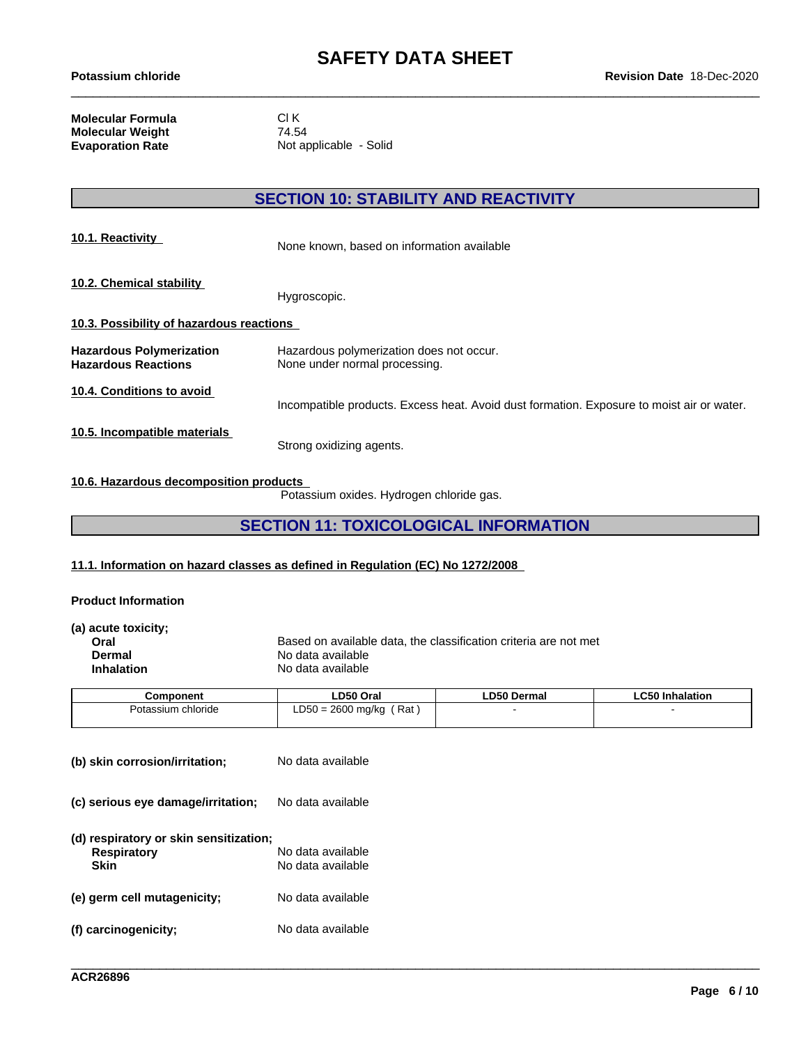**Molecular Formula** CI K<br>**Molecular Weight** 74.54 **Molecular Weight<br>Evaporation Rate** 

**Not applicable - Solid** 

# **SECTION 10: STABILITY AND REACTIVITY**

| 10.1. Reactivity                                              | None known, based on information available                                                |
|---------------------------------------------------------------|-------------------------------------------------------------------------------------------|
| 10.2. Chemical stability                                      | Hygroscopic.                                                                              |
| 10.3. Possibility of hazardous reactions                      |                                                                                           |
| <b>Hazardous Polymerization</b><br><b>Hazardous Reactions</b> | Hazardous polymerization does not occur.<br>None under normal processing.                 |
| 10.4. Conditions to avoid                                     | Incompatible products. Excess heat. Avoid dust formation. Exposure to moist air or water. |
| 10.5. Incompatible materials                                  | Strong oxidizing agents.                                                                  |

#### **10.6. Hazardous decomposition products**

Potassium oxides. Hydrogen chloride gas.

# **SECTION 11: TOXICOLOGICAL INFORMATION**

#### **11.1. Information on hazard classes as defined in Regulation (EC) No 1272/2008**

#### **Product Information**

| (a) acute toxicity; |                                                                  |
|---------------------|------------------------------------------------------------------|
| Oral                | Based on available data, the classification criteria are not met |
| Dermal              | No data available                                                |
| <b>Inhalation</b>   | No data available                                                |
|                     |                                                                  |

| Component          | ∟D50 Oral                                     | <b>LD50 Dermal</b> | $\mathsf{L}$ C50<br>Inhalation |
|--------------------|-----------------------------------------------|--------------------|--------------------------------|
| Potassium chloride | Rat<br>$\Gamma$<br>$= 2600$<br>, ma/ka<br>⊸⊃∪ |                    |                                |
|                    |                                               |                    |                                |

| (b) skin corrosion/irritation;                                       | No data available                      |
|----------------------------------------------------------------------|----------------------------------------|
| (c) serious eye damage/irritation;                                   | No data available                      |
| (d) respiratory or skin sensitization;<br><b>Respiratory</b><br>Skin | No data available<br>No data available |
| (e) germ cell mutagenicity;                                          | No data available                      |
| (f) carcinogenicity;                                                 | No data available                      |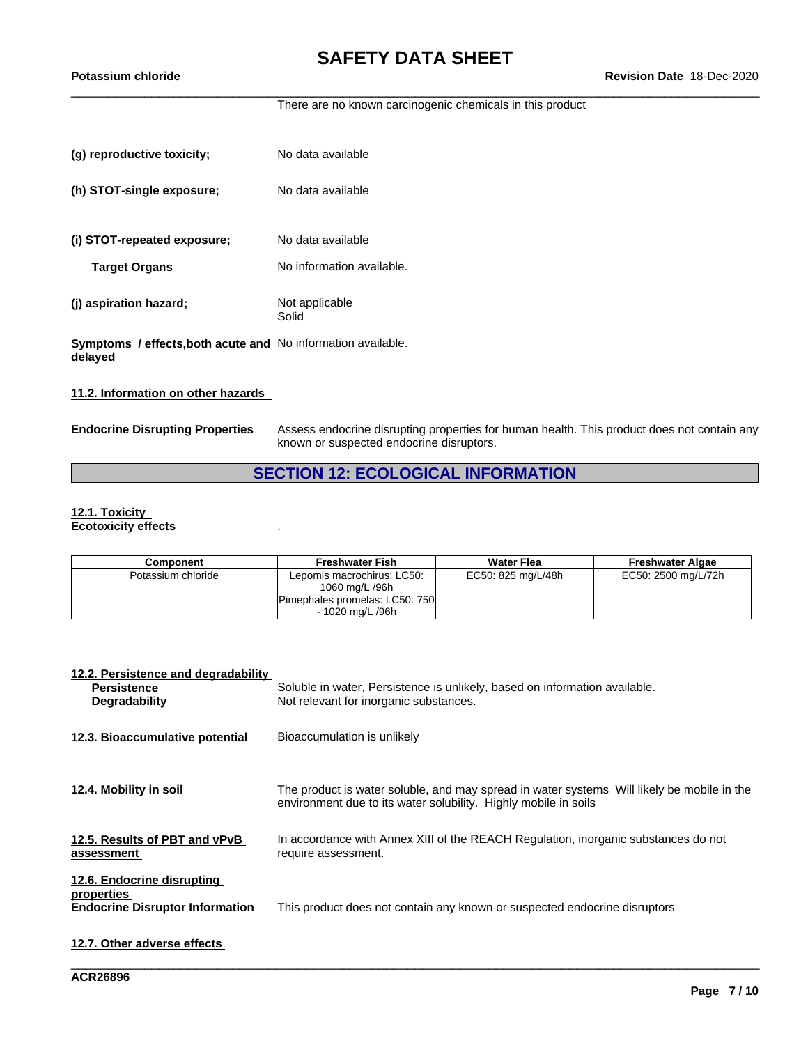There are no known carcinogenic chemicals in this product

| (g) reproductive toxicity;                                                     | No data available         |
|--------------------------------------------------------------------------------|---------------------------|
| (h) STOT-single exposure;                                                      | No data available         |
| (i) STOT-repeated exposure;                                                    | No data available         |
| <b>Target Organs</b>                                                           | No information available. |
| (j) aspiration hazard;                                                         | Not applicable<br>Solid   |
| <b>Symptoms / effects, both acute and No information available.</b><br>delayed |                           |

#### **11.2. Information on other hazards**

**Endocrine Disrupting Properties** Assess endocrine disrupting properties for human health. This product does not contain any known or suspected endocrine disruptors.

# **SECTION 12: ECOLOGICAL INFORMATION**

#### **12.1. Toxicity Ecotoxicity effects** .

| Component          | <b>Freshwater Fish</b>                                                                             | <b>Water Flea</b>  | <b>Freshwater Algae</b> |
|--------------------|----------------------------------------------------------------------------------------------------|--------------------|-------------------------|
| Potassium chloride | Lepomis macrochirus: LC50:<br>1060 mg/L /96h<br>Pimephales promelas: LC50: 750<br>- 1020 ma/L /96h | EC50: 825 mg/L/48h | EC50: 2500 mg/L/72h     |

| 12.2. Persistence and degradability<br><b>Persistence</b><br><b>Degradability</b>  | Soluble in water, Persistence is unlikely, based on information available.<br>Not relevant for inorganic substances.                                          |
|------------------------------------------------------------------------------------|---------------------------------------------------------------------------------------------------------------------------------------------------------------|
| 12.3. Bioaccumulative potential                                                    | Bioaccumulation is unlikely                                                                                                                                   |
| 12.4. Mobility in soil                                                             | The product is water soluble, and may spread in water systems Will likely be mobile in the<br>environment due to its water solubility. Highly mobile in soils |
| 12.5. Results of PBT and vPvB<br>assessment                                        | In accordance with Annex XIII of the REACH Regulation, inorganic substances do not<br>require assessment.                                                     |
| 12.6. Endocrine disrupting<br>properties<br><b>Endocrine Disruptor Information</b> | This product does not contain any known or suspected endocrine disruptors                                                                                     |
| 12.7. Other adverse effects                                                        |                                                                                                                                                               |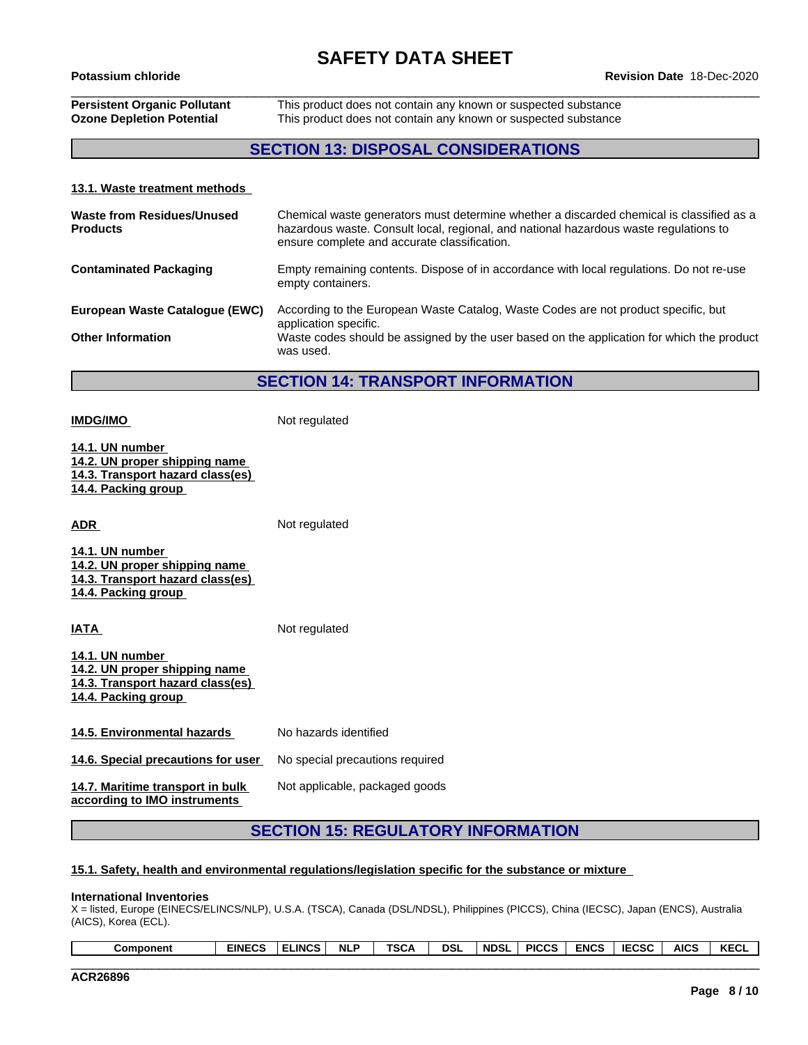# **Persistent Organic Pollutant** This product does not contain any known or suspected substance **Ozone Depletion Potential** This product does not contain any known or suspected substance

### **SECTION 13: DISPOSAL CONSIDERATIONS**

#### **13.1. Waste treatment methods**

**IMDG/IMO** Not regulated

| Waste from Residues/Unused<br><b>Products</b> | Chemical waste generators must determine whether a discarded chemical is classified as a<br>hazardous waste. Consult local, regional, and national hazardous waste regulations to<br>ensure complete and accurate classification. |
|-----------------------------------------------|-----------------------------------------------------------------------------------------------------------------------------------------------------------------------------------------------------------------------------------|
| <b>Contaminated Packaging</b>                 | Empty remaining contents. Dispose of in accordance with local regulations. Do not re-use<br>empty containers.                                                                                                                     |
| European Waste Cataloque (EWC)                | According to the European Waste Catalog, Waste Codes are not product specific, but<br>application specific.                                                                                                                       |
| <b>Other Information</b>                      | Waste codes should be assigned by the user based on the application for which the product<br>was used.                                                                                                                            |

**SECTION 14: TRANSPORT INFORMATION**

**14.1. UN number 14.2. UN proper shipping name 14.3. Transport hazard class(es) 14.4. Packing group ADR** Not regulated **14.1. UN number 14.2. UN proper shipping name 14.3. Transport hazard class(es) 14.4. Packing group IATA** Not regulated **14.1. UN number 14.2. UN proper shipping name 14.3. Transport hazard class(es) 14.4. Packing group 14.5. Environmental hazards** No hazards identified **14.6. Special precautions for user** No special precautions required **14.7. Maritime transport in bulk according to IMO instruments** Not applicable, packaged goods

## **SECTION 15: REGULATORY INFORMATION**

#### **15.1. Safety, health and environmental regulations/legislation specific for the substance or mixture**

#### **International Inventories**

X = listed, Europe (EINECS/ELINCS/NLP), U.S.A. (TSCA), Canada (DSL/NDSL), Philippines (PICCS), China (IECSC), Japan (ENCS), Australia (AICS), Korea (ECL).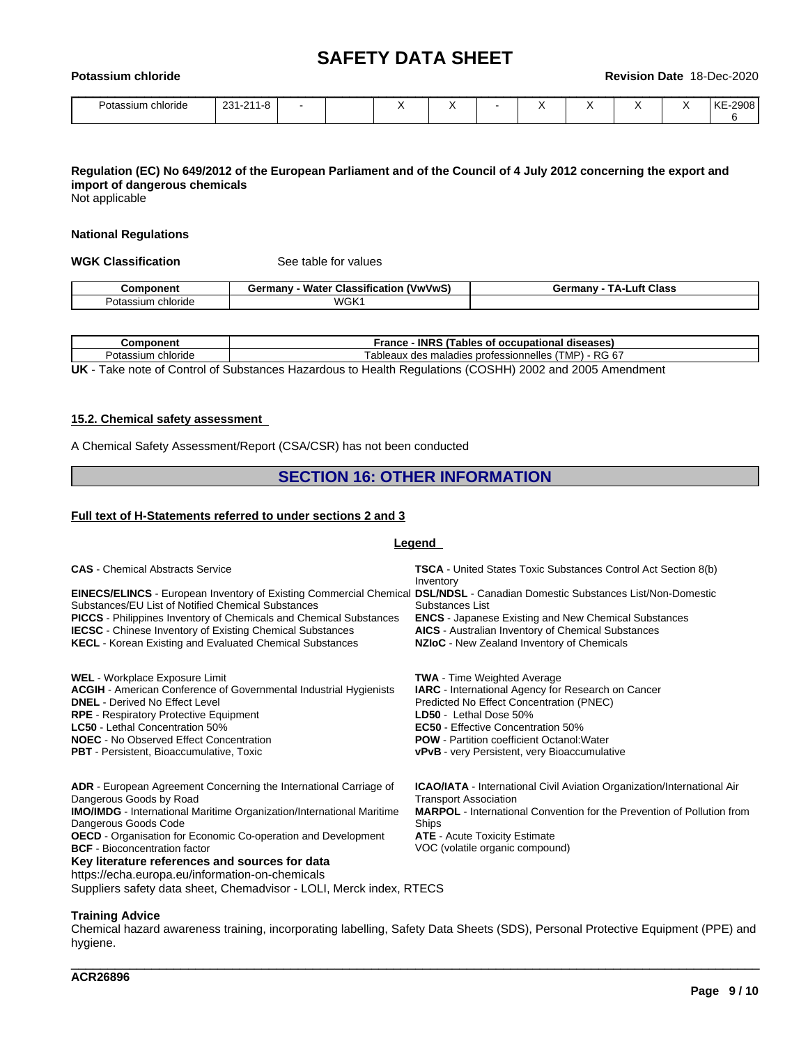| Potassium<br><b>chloride</b> |           |  |           |  | <b>Revision Date</b> | 18-Dec-2020 |
|------------------------------|-----------|--|-----------|--|----------------------|-------------|
| Potassium chloride           | 231-211-8 |  | $\lambda$ |  |                      | KE-2908     |

### Regulation (EC) No 649/2012 of the European Parliament and of the Council of 4 July 2012 concerning the export and **import of dangerous chemicals**

Not applicable

#### **National Regulations**

**WGK Classification** See table for values

| -------                         | ---<br>- -<br>ືີດnv -<br>Ababit<br>Classit<br><b>Water</b><br>uerna | Class<br>.utt |
|---------------------------------|---------------------------------------------------------------------|---------------|
| $\sim$<br>ота:<br>nioriae<br>зш | WGK <sup>.</sup>                                                    |               |

| $  -$<br>.                  | <b>INRS</b><br>$\sqrt{2}$<br>rance<br>diseases<br>occupation<br>minmin<br>ables<br>O.<br>   |
|-----------------------------|---------------------------------------------------------------------------------------------|
| ∼ה<br>chloride<br>'otassıum | <br>RG 6.<br>$\sim$ $\sim$<br>, MP'<br>ableaux<br>ssionnelles<br>profess<br>ialadies<br>uco |
| _ _ _ _ _ _<br>___<br>__    |                                                                                             |

**UK** - Take note of Control of Substances Hazardous to Health Regulations (COSHH) 2002 and 2005 Amendment

#### **15.2. Chemical safety assessment**

A Chemical Safety Assessment/Report (CSA/CSR) has not been conducted

#### **SECTION 16: OTHER INFORMATION**

#### **Full text of H-Statements referred to undersections 2 and 3**

#### **Legend**

| <b>CAS</b> - Chemical Abstracts Service                                                                                                                                                                                                                                                                                                                                                                                          | <b>TSCA</b> - United States Toxic Substances Control Act Section 8(b)<br>Inventory                                                                                                                                                                                                                                             |
|----------------------------------------------------------------------------------------------------------------------------------------------------------------------------------------------------------------------------------------------------------------------------------------------------------------------------------------------------------------------------------------------------------------------------------|--------------------------------------------------------------------------------------------------------------------------------------------------------------------------------------------------------------------------------------------------------------------------------------------------------------------------------|
| EINECS/ELINCS - European Inventory of Existing Commercial Chemical DSL/NDSL - Canadian Domestic Substances List/Non-Domestic<br>Substances/EU List of Notified Chemical Substances<br><b>PICCS</b> - Philippines Inventory of Chemicals and Chemical Substances<br><b>IECSC</b> - Chinese Inventory of Existing Chemical Substances<br><b>KECL</b> - Korean Existing and Evaluated Chemical Substances                           | Substances List<br><b>ENCS</b> - Japanese Existing and New Chemical Substances<br><b>AICS</b> - Australian Inventory of Chemical Substances<br>NZIoC - New Zealand Inventory of Chemicals                                                                                                                                      |
| WEL - Workplace Exposure Limit<br><b>ACGIH</b> - American Conference of Governmental Industrial Hygienists<br><b>DNEL</b> - Derived No Effect Level<br><b>RPE</b> - Respiratory Protective Equipment<br><b>LC50</b> - Lethal Concentration 50%<br><b>NOEC</b> - No Observed Effect Concentration<br><b>PBT</b> - Persistent, Bioaccumulative, Toxic                                                                              | <b>TWA</b> - Time Weighted Average<br><b>IARC</b> - International Agency for Research on Cancer<br>Predicted No Effect Concentration (PNEC)<br>LD50 - Lethal Dose 50%<br><b>EC50</b> - Effective Concentration 50%<br><b>POW</b> - Partition coefficient Octanol: Water<br><b>vPvB</b> - very Persistent, very Bioaccumulative |
| <b>ADR</b> - European Agreement Concerning the International Carriage of<br>Dangerous Goods by Road<br><b>IMO/IMDG</b> - International Maritime Organization/International Maritime<br>Dangerous Goods Code<br><b>OECD</b> - Organisation for Economic Co-operation and Development<br><b>BCF</b> - Bioconcentration factor<br>Key literature references and sources for data<br>https://echa.europa.eu/information-on-chemicals | <b>ICAO/IATA</b> - International Civil Aviation Organization/International Air<br><b>Transport Association</b><br><b>MARPOL</b> - International Convention for the Prevention of Pollution from<br>Ships<br><b>ATE</b> - Acute Toxicity Estimate<br>VOC (volatile organic compound)                                            |

Suppliers safety data sheet, Chemadvisor - LOLI, Merck index, RTECS

#### **Training Advice**

Chemical hazard awareness training, incorporating labelling, Safety Data Sheets (SDS), Personal Protective Equipment (PPE) and hygiene.